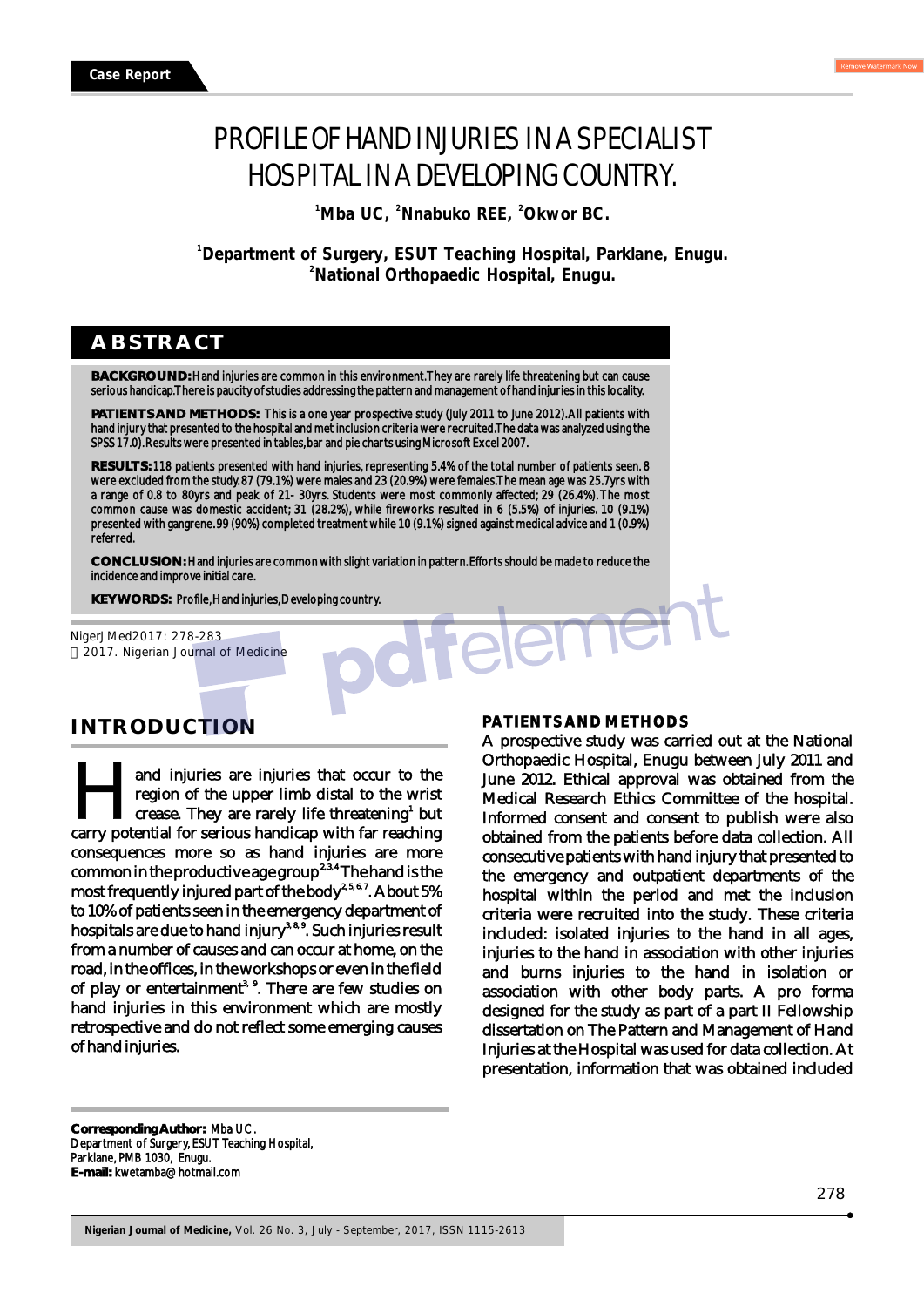# PROFILE OF HAND INJURIES IN A SPECIALIST HOSPITAL IN A DEVELOPING COUNTRY.

<sup>1</sup> Mba UC, <sup>2</sup> Nnabuko REE, <sup>2</sup> Okwor BC.

**<sup>1</sup>Department of Surgery, ESUT Teaching Hospital, Parklane, Enugu. <sup>2</sup>National Orthopaedic Hospital, Enugu.**

## **ABSTRACT**

**BACKGROUND:** Hand injuries are common in this environment. They are rarely life threatening but can cause serious handicap. There is paucity of studies addressing the pattern and management of hand injuries in this locality.

**PATIENTS AND METHODS:** This is a one year prospective study (July 2011 to June 2012). All patients with hand injury that presented to the hospital and met inclusion criteria were recruited. The data was analyzed using the SPSS 17.0). Results were presented in tables, bar and pie charts using Microsoft Excel 2007.

**RESULTS:** 118 patients presented with hand injuries, representing 5.4% of the total number of patients seen. 8 were excluded from the study. 87 (79.1%) were males and 23 (20.9%) were females. The mean age was 25.7yrs with a range of 0.8 to 80yrs and peak of 21- 30yrs. Students were most commonly affected; 29 (26.4%). The most common cause was domestic accident; 31 (28.2%), while fireworks resulted in 6 (5.5%) of injuries. 10 (9.1%) presented with gangrene. 99 (90%) completed treatment while 10 (9.1%) signed against medical advice and 1 (0.9%) referred.

**CONCLUSION:** Hand injuries are common with slight variation in pattern. Efforts should be made to reduce the incidence and improve initial care.

KEYWORDS: Profile, Hand injuries, Developing country.<br>erJMed2017: 278-283<br>017. Nigerian Journal of Medicine NigerJMed2017: 278-283 2017. Nigerian Journal of Medicine

# **INTRODUCTION**

and injuries are injuries that occur to the region of the upper limb distal to the wrist and injuries are injuries that occur to the region of the upper limb distal to the wrist crease. They are rarely life threatening<sup>1</sup> but carry potential for serious handicap with far reaching consequences more so as hand injuries are more common in the productive age group<sup>2,3,4</sup> The hand is the most frequently injured part of the body<sup>2, 5, 6, 7</sup>. About 5% to 10% of patients seen in the emergency department of hospitals are due to hand injury<sup>3, 8, 9</sup>. Such injuries result from a number of causes and can occur at home, on the road, in the offices, in the workshops or even in the field of play or entertainment<sup>3, 9</sup>. There are few studies on hand injuries in this environment which are mostly retrospective and do not reflect some emerging causes of hand injuries.

#### **PATIENTS AND METHODS**

A prospective study was carried out at the National Orthopaedic Hospital, Enugu between July 2011 and June 2012. Ethical approval was obtained from the Medical Research Ethics Committee of the hospital. Informed consent and consent to publish were also obtained from the patients before data collection. All consecutive patients with hand injury that presented to the emergency and outpatient departments of the hospital within the period and met the inclusion criteria were recruited into the study. These criteria included: isolated injuries to the hand in all ages, injuries to the hand in association with other injuries and burns injuries to the hand in isolation or association with other body parts. A pro forma designed for the study as part of a part II Fellowship dissertation on The Pattern and Management of Hand Injuries at the Hospital was used for data collection. At presentation, information that was obtained included

**Corresponding Author:** Mba UC. Department of Surgery, ESUT Teaching Hospital, Parklane, PMB 1030, Enugu. **E-mail:** kwetamba@hotmail.com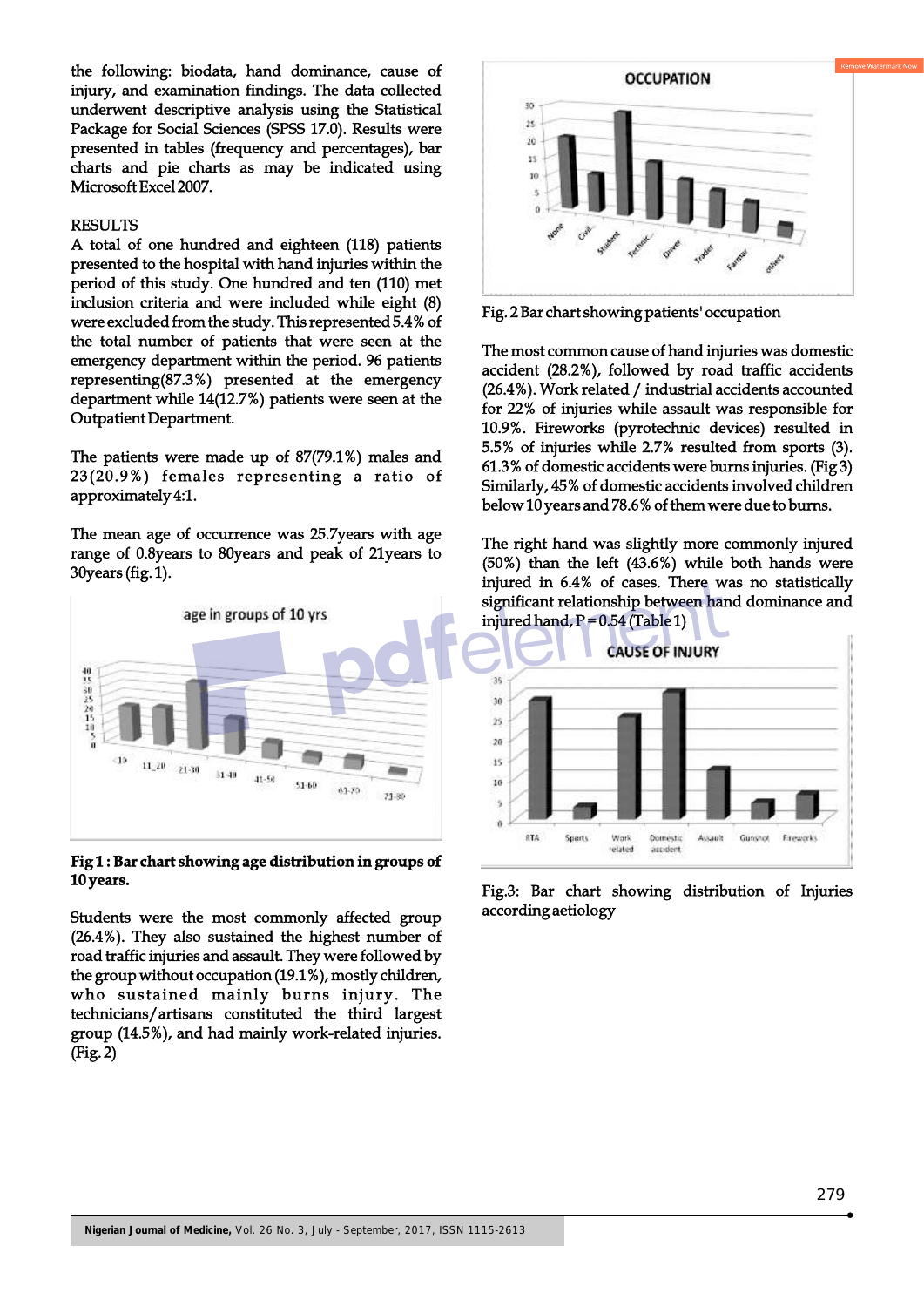the following: biodata, hand dominance, cause of injury, and examination findings. The data collected underwent descriptive analysis using the Statistical Package for Social Sciences (SPSS 17.0). Results were presented in tables (frequency and percentages), bar charts and pie charts as may be indicated using Microsoft Excel 2007.

#### RESULTS

A total of one hundred and eighteen (118) patients presented to the hospital with hand injuries within the period of this study. One hundred and ten (110) met inclusion criteria and were included while eight (8) were excluded from the study. This represented 5.4% of the total number of patients that were seen at the emergency department within the period. 96 patients representing(87.3%) presented at the emergency department while 14(12.7%) patients were seen at the Outpatient Department.

The patients were made up of 87(79.1%) males and 23(20.9%) females representing a ratio of approximately 4:1.

The mean age of occurrence was 25.7years with age range of 0.8years to 80years and peak of 21years to 30years (fig. 1).



**Fig 1 : Bar chart showing age distribution in groups of 10 years.** 

Students were the most commonly affected group (26.4%). They also sustained the highest number of road traffic injuries and assault. They were followed by the group without occupation (19.1%), mostly children, who sustained mainly burns injury. The technicians/artisans constituted the third largest group (14.5%), and had mainly work-related injuries. (Fig. 2)



Fig. 2 Bar chart showing patients' occupation

The most common cause of hand injuries was domestic accident (28.2%), followed by road traffic accidents (26.4%). Work related / industrial accidents accounted for 22% of injuries while assault was responsible for 10.9%. Fireworks (pyrotechnic devices) resulted in 5.5% of injuries while 2.7% resulted from sports (3). 61.3% of domestic accidents were burns injuries. (Fig 3) Similarly, 45% of domestic accidents involved children below 10 years and 78.6% of them were due to burns.

The right hand was slightly more commonly injured (50%) than the left (43.6%) while both hands were injured in 6.4% of cases. There was no statistically significant relationship between hand dominance and injured hand,  $P = 0.54$  (Table 1)



Fig.3: Bar chart showing distribution of Injuries according aetiology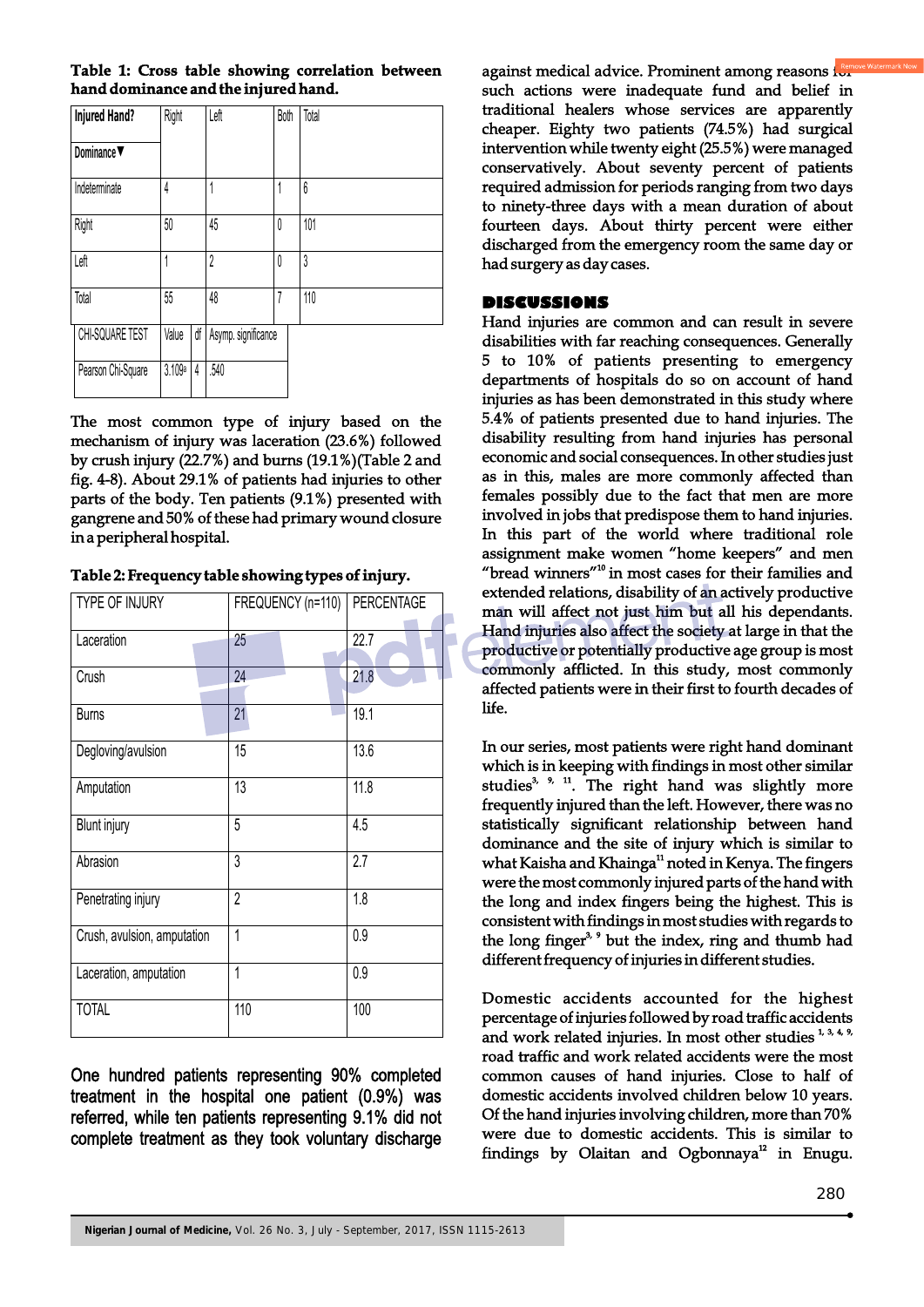|  |  |                                      | Table 1: Cross table showing correlation between |  |
|--|--|--------------------------------------|--------------------------------------------------|--|
|  |  | hand dominance and the injured hand. |                                                  |  |

| <b>Injured Hand?</b>           | Right  |    | Left                | Both | Total |
|--------------------------------|--------|----|---------------------|------|-------|
| Dominance $\blacktriangledown$ |        |    |                     |      |       |
| Indeterminate                  | 4      |    | 1                   | 1    | 6     |
| Right                          | 50     |    | 45                  | 0    | 101   |
| Left                           | 1      |    | $\overline{2}$      | 0    | 3     |
| Total                          | 55     |    | 48                  | 7    | 110   |
| CHI-SQUARE TEST                | Value  | df | Asymp. significance |      |       |
| Pearson Chi-Square             | 3.109a | 4  | .540                |      |       |

The most common type of injury based on the mechanism of injury was laceration (23.6%) followed by crush injury (22.7%) and burns (19.1%)(Table 2 and fig. 4-8). About 29.1% of patients had injuries to other parts of the body. Ten patients (9.1%) presented with gangrene and 50% of these had primary wound closure in a peripheral hospital.

**Table 2: Frequency table showing types of injury.**

| <b>TYPE OF INJURY</b>       | FREQUENCY (n=110) | PERCENTAGE |
|-----------------------------|-------------------|------------|
| Laceration                  | 25                | 22.7       |
| Crush                       | 24                | 21.8       |
| <b>Burns</b>                | 21                | 19.1       |
| Degloving/avulsion          | 15                | 13.6       |
| Amputation                  | 13                | 11.8       |
| <b>Blunt injury</b>         | 5                 | 4.5        |
| Abrasion                    | 3                 | 2.7        |
| Penetrating injury          | $\overline{2}$    | 1.8        |
| Crush, avulsion, amputation | 1                 | 0.9        |
| Laceration, amputation      | 1                 | 0.9        |
| <b>TOTAL</b>                | 110               | 100        |

One hundred patients representing 90% completed treatment in the hospital one patient (0.9%) was referred, while ten patients representing 9.1% did not complete treatment as they took voluntary discharge

against medical advice. Prominent among reasons is such actions were inadequate fund and belief in traditional healers whose services are apparently cheaper. Eighty two patients (74.5%) had surgical intervention while twenty eight (25.5%) were managed conservatively. About seventy percent of patients required admission for periods ranging from two days to ninety-three days with a mean duration of about fourteen days. About thirty percent were either discharged from the emergency room the same day or had surgery as day cases.

## **DISCUSSIONS**

Hand injuries are common and can result in severe disabilities with far reaching consequences. Generally 5 to 10% of patients presenting to emergency departments of hospitals do so on account of hand injuries as has been demonstrated in this study where 5.4% of patients presented due to hand injuries. The disability resulting from hand injuries has personal economic and social consequences. In other studies just as in this, males are more commonly affected than females possibly due to the fact that men are more involved in jobs that predispose them to hand injuries. In this part of the world where traditional role assignment make women "home keepers" and men "bread winners"<sup>10</sup> in most cases for their families and extended relations, disability of an actively productive man will affect not just him but all his dependants. Hand injuries also affect the society at large in that the productive or potentially productive age group is most commonly afflicted. In this study, most commonly affected patients were in their first to fourth decades of life.

In our series, most patients were right hand dominant which is in keeping with findings in most other similar studies<sup>3, 9, 11</sup>. The right hand was slightly more frequently injured than the left. However, there was no statistically significant relationship between hand dominance and the site of injury which is similar to what Kaisha and Khainga<sup>11</sup> noted in Kenya. The fingers were the most commonly injured parts of the hand with the long and index fingers being the highest. This is consistent with findings in most studies with regards to the long finger<sup> $3, 9$ </sup> but the index, ring and thumb had different frequency of injuries in different studies.

Domestic accidents accounted for the highest percentage of injuries followed by road traffic accidents and work related injuries. In most other studies  $1, 3, 4, 9$ , road traffic and work related accidents were the most common causes of hand injuries. Close to half of domestic accidents involved children below 10 years. Of the hand injuries involving children, more than 70% were due to domestic accidents. This is similar to findings by Olaitan and Ogbonnaya<sup>12</sup> in Enugu.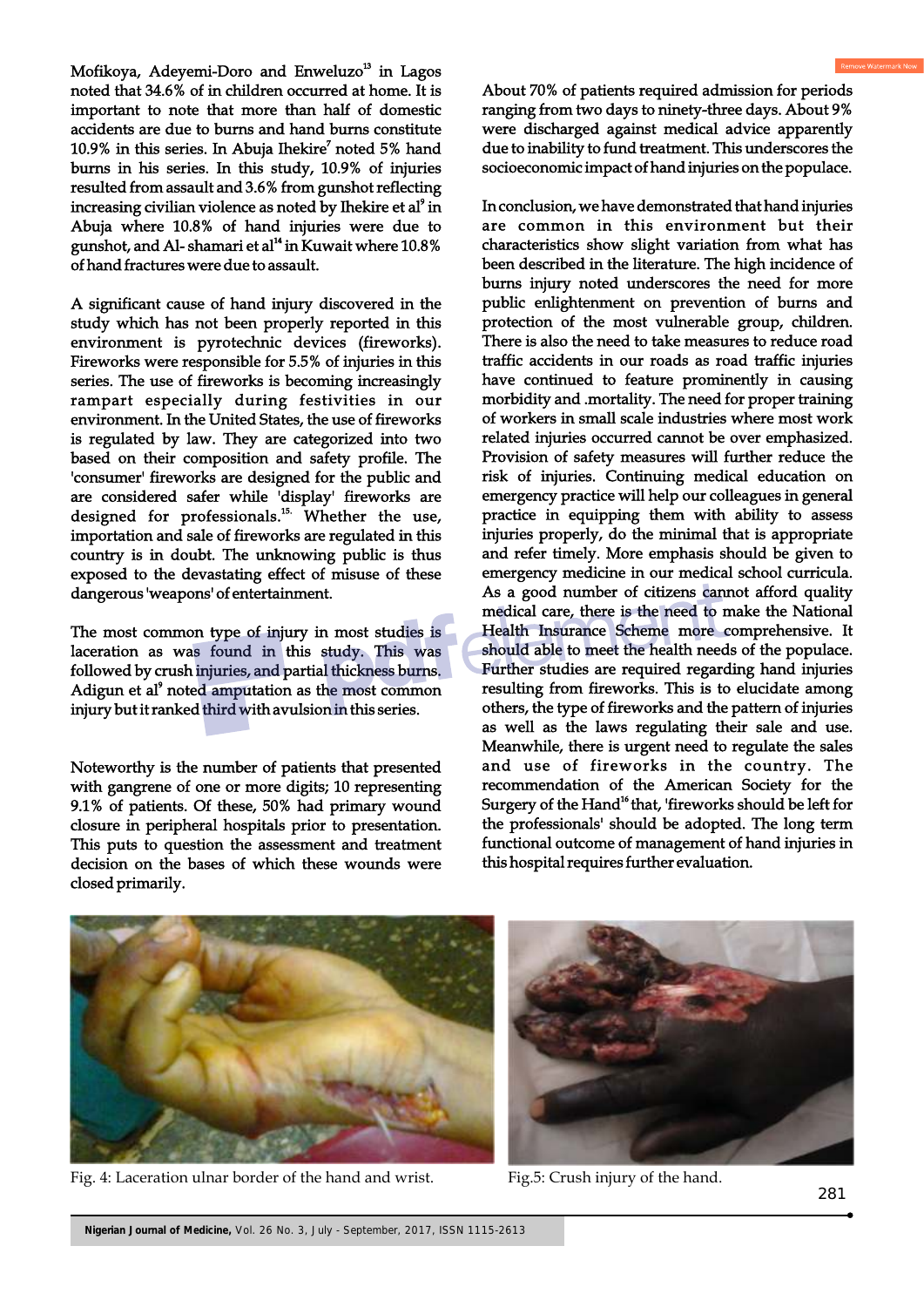Mofikoya, Adeyemi-Doro and Enweluzo<sup>13</sup> in Lagos noted that 34.6% of in children occurred at home. It is important to note that more than half of domestic accidents are due to burns and hand burns constitute 10.9% in this series. In Abuja Ihekire<sup>7</sup> noted 5% hand burns in his series. In this study, 10.9% of injuries resulted from assault and 3.6% from gunshot reflecting increasing civilian violence as noted by Ihekire et al<sup>9</sup> in Abuja where 10.8% of hand injuries were due to gunshot, and Al- shamari et al<sup>14</sup> in Kuwait where 10.8% of hand fractures were due to assault.

A significant cause of hand injury discovered in the study which has not been properly reported in this environment is pyrotechnic devices (fireworks). Fireworks were responsible for 5.5% of injuries in this series. The use of fireworks is becoming increasingly rampart especially during festivities in our environment. In the United States, the use of fireworks is regulated by law. They are categorized into two based on their composition and safety profile. The 'consumer' fireworks are designed for the public and are considered safer while 'display' fireworks are designed for professionals.<sup>15.</sup> Whether the use, importation and sale of fireworks are regulated in this country is in doubt. The unknowing public is thus exposed to the devastating effect of misuse of these dangerous 'weapons' of entertainment.

The most common type of injury in most studies is laceration as was found in this study. This was followed by crush injuries, and partial thickness burns. Adigun et al<sup>9</sup> noted amputation as the most common injury but it ranked third with avulsion in this series.

Noteworthy is the number of patients that presented with gangrene of one or more digits; 10 representing 9.1% of patients. Of these, 50% had primary wound closure in peripheral hospitals prior to presentation. This puts to question the assessment and treatment decision on the bases of which these wounds were closed primarily.

About 70% of patients required admission for periods ranging from two days to ninety-three days. About 9% were discharged against medical advice apparently due to inability to fund treatment. This underscores the socioeconomic impact of hand injuries on the populace.

In conclusion, we have demonstrated that hand injuries are common in this environment but their characteristics show slight variation from what has been described in the literature. The high incidence of burns injury noted underscores the need for more public enlightenment on prevention of burns and protection of the most vulnerable group, children. There is also the need to take measures to reduce road traffic accidents in our roads as road traffic injuries have continued to feature prominently in causing morbidity and .mortality. The need for proper training of workers in small scale industries where most work related injuries occurred cannot be over emphasized. Provision of safety measures will further reduce the risk of injuries. Continuing medical education on emergency practice will help our colleagues in general practice in equipping them with ability to assess injuries properly, do the minimal that is appropriate and refer timely. More emphasis should be given to emergency medicine in our medical school curricula. As a good number of citizens cannot afford quality medical care, there is the need to make the National Health Insurance Scheme more comprehensive. It should able to meet the health needs of the populace. Further studies are required regarding hand injuries resulting from fireworks. This is to elucidate among others, the type of fireworks and the pattern of injuries as well as the laws regulating their sale and use. Meanwhile, there is urgent need to regulate the sales and use of fireworks in the country. The recommendation of the American Society for the Surgery of the Hand<sup>16</sup> that, 'fireworks should be left for the professionals' should be adopted. The long term functional outcome of management of hand injuries in this hospital requires further evaluation.



Fig. 4: Laceration ulnar border of the hand and wrist. Fig.5: Crush injury of the hand.

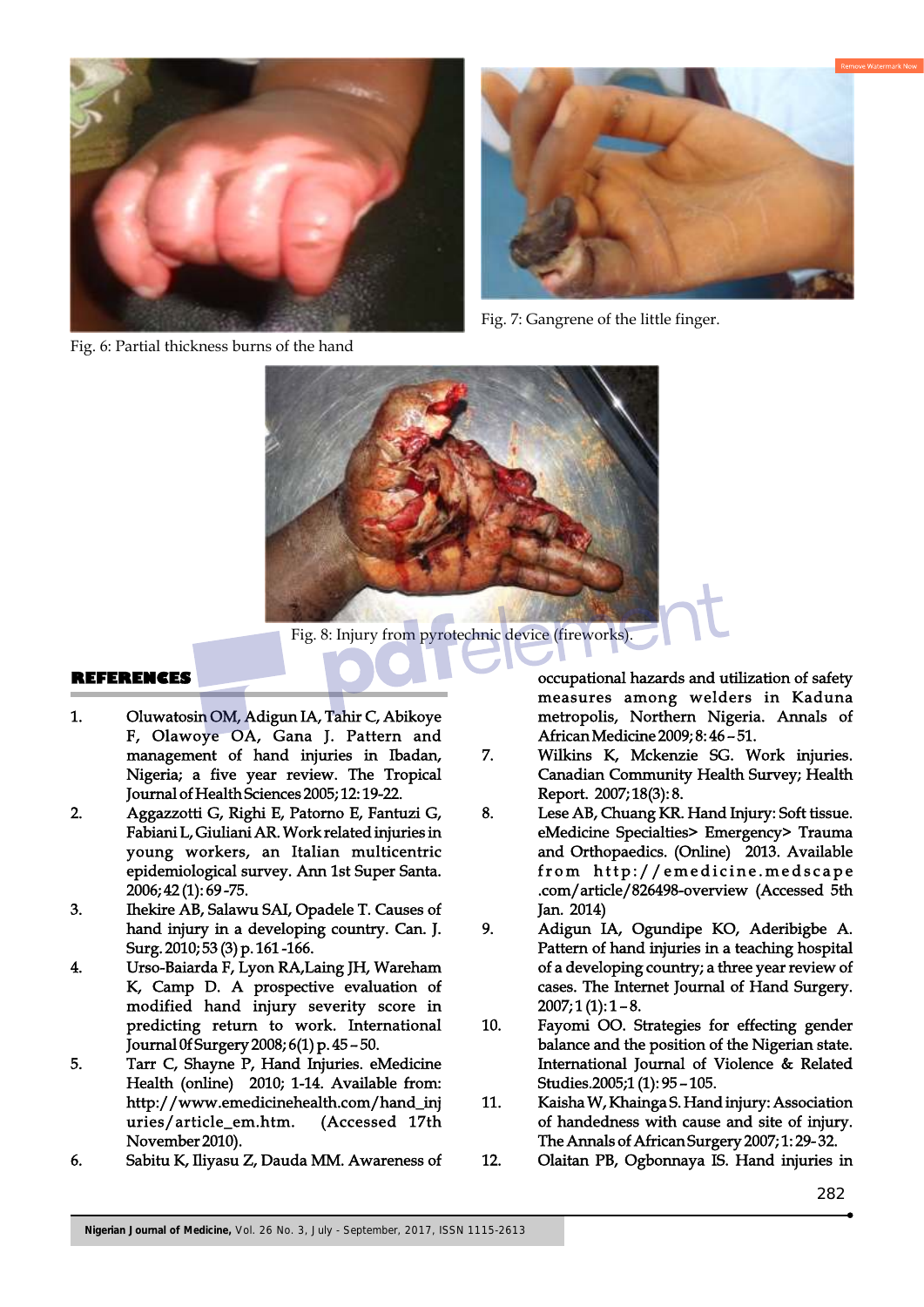





Fig. 7: Gangrene of the little finger.



Fig. 8: Injury from pyrotechnic device (fireworks).

### **REFERENCES**

- 1. Oluwatosin OM, Adigun IA, Tahir C, Abikoye F, Olawoye OA, Gana J. Pattern and management of hand injuries in Ibadan, Nigeria; a five year review. The Tropical Journal of Health Sciences 2005; 12: 19-22.
- 2. Aggazzotti G, Righi E, Patorno E, Fantuzi G, Fabiani L, Giuliani AR. Work related injuries in young workers, an Italian multicentric epidemiological survey. Ann 1st Super Santa. 2006; 42 (1): 69 -75.
- 3. Ihekire AB, Salawu SAI, Opadele T. Causes of hand injury in a developing country. Can. J. Surg. 2010; 53 (3) p. 161 -166.
- 4. Urso-Baiarda F, Lyon RA,Laing JH, Wareham K, Camp D. A prospective evaluation of modified hand injury severity score in predicting return to work. International Journal 0f Surgery 2008; 6(1) p. 45 – 50.
- 5. Tarr C, Shayne P, Hand Injuries. eMedicine Health (online) 2010; 1-14. Available from: http://www.emedicinehealth.com/hand\_inj uries/article\_em.htm. (Accessed 17th November 2010).
- 6. Sabitu K, Iliyasu Z, Dauda MM. Awareness of

occupational hazards and utilization of safety measures among welders in Kaduna metropolis, Northern Nigeria. Annals of African Medicine 2009; 8: 46 – 51.

- 7. Wilkins K, Mckenzie SG. Work injuries. Canadian Community Health Survey; Health Report. 2007; 18(3): 8.
- 8. Lese AB, Chuang KR. Hand Injury: Soft tissue. eMedicine Specialties> Emergency> Trauma and Orthopaedics. (Online) 2013. Available from http://emedicine.medscape .com/article/826498-overview (Accessed 5th Jan. 2014)
- 9. Adigun IA, Ogundipe KO, Aderibigbe A. Pattern of hand injuries in a teaching hospital of a developing country; a three year review of cases. The Internet Journal of Hand Surgery.  $2007; 1(1): 1 - 8.$
- 10. Fayomi OO. Strategies for effecting gender balance and the position of the Nigerian state. International Journal of Violence & Related Studies.2005;1 (1): 95 – 105.
- 11. Kaisha W, Khainga S. Hand injury: Association of handedness with cause and site of injury. The Annals of African Surgery 2007; 1: 29- 32.
- 12. Olaitan PB, Ogbonnaya IS. Hand injuries in